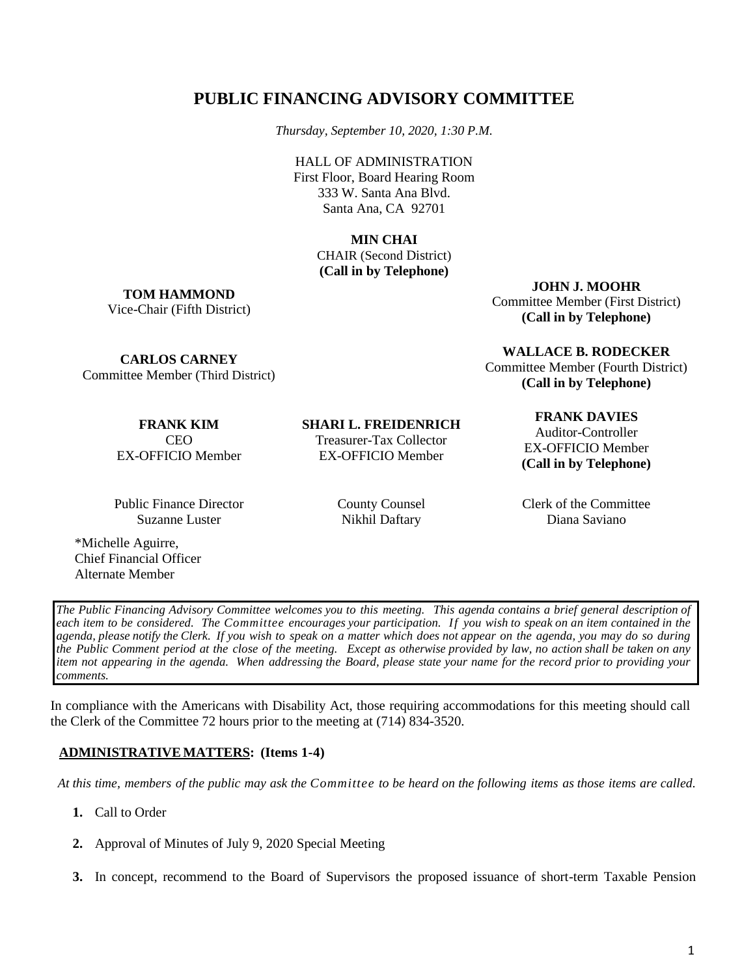# **PUBLIC FINANCING ADVISORY COMMITTEE**

*Thursday, September 10, 2020, 1:30 P.M.*

HALL OF ADMINISTRATION First Floor, Board Hearing Room 333 W. Santa Ana Blvd. Santa Ana, CA 92701

## **MIN CHAI**

CHAIR (Second District) **(Call in by Telephone)**

**TOM HAMMOND**

Vice-Chair (Fifth District)

**CARLOS CARNEY** Committee Member (Third District)

> **FRANK KIM CEO** EX-OFFICIO Member

Public Finance Director Suzanne Luster

\*Michelle Aguirre, Chief Financial Officer Alternate Member

**SHARI L. FREIDENRICH**

Treasurer-Tax Collector EX-OFFICIO Member

> County Counsel Nikhil Daftary

# **WALLACE B. RODECKER**

**JOHN J. MOOHR** Committee Member (First District) **(Call in by Telephone)**

Committee Member (Fourth District) **(Call in by Telephone)**

> **FRANK DAVIES** Auditor-Controller

EX-OFFICIO Member **(Call in by Telephone)**

Clerk of the Committee Diana Saviano

*The Public Financing Advisory Committee welcomes you to this meeting. This agenda contains a brief general description of* each item to be considered. The Committee encourages your participation. If you wish to speak on an item contained in the agenda, please notify the Clerk. If you wish to speak on a matter which does not appear on the agenda, you may do so during the Public Comment period at the close of the meeting. Except as otherwise provided by law, no action shall be taken on any item not appearing in the agenda. When addressing the Board, please state your name for the record prior to providing your *comments.*

In compliance with the Americans with Disability Act, those requiring accommodations for this meeting should call the Clerk of the Committee 72 hours prior to the meeting at (714) 834-3520.

# **ADMINISTRATIVEMATTERS: (Items 1-4)**

At this time, members of the public may ask the Committee to be heard on the following items as those items are called.

- **1.** Call to Order
- **2.** Approval of Minutes of July 9, 2020 Special Meeting
- **3.** In concept, recommend to the Board of Supervisors the proposed issuance of short-term Taxable Pension